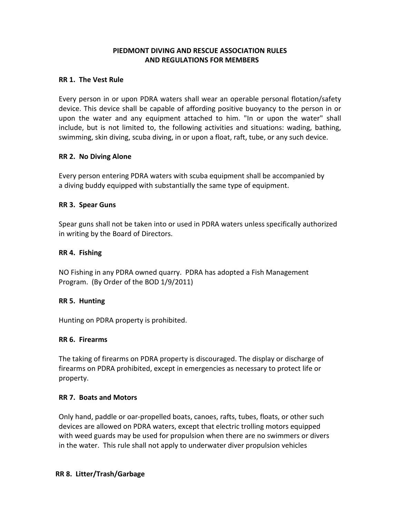# PIEDMONT DIVING AND RESCUE ASSOCIATION RULES AND REGULATIONS FOR MEMBERS

## RR 1. The Vest Rule

Every person in or upon PDRA waters shall wear an operable personal flotation/safety device. This device shall be capable of affording positive buoyancy to the person in or upon the water and any equipment attached to him. "In or upon the water" shall include, but is not limited to, the following activities and situations: wading, bathing, swimming, skin diving, scuba diving, in or upon a float, raft, tube, or any such device.

## RR 2. No Diving Alone

Every person entering PDRA waters with scuba equipment shall be accompanied by a diving buddy equipped with substantially the same type of equipment.

## RR 3. Spear Guns

Spear guns shall not be taken into or used in PDRA waters unless specifically authorized in writing by the Board of Directors.

## RR 4. Fishing

NO Fishing in any PDRA owned quarry. PDRA has adopted a Fish Management Program. (By Order of the BOD 1/9/2011)

## RR 5. Hunting

Hunting on PDRA property is prohibited.

## RR 6. Firearms

The taking of firearms on PDRA property is discouraged. The display or discharge of firearms on PDRA prohibited, except in emergencies as necessary to protect life or property.

## RR 7. Boats and Motors

Only hand, paddle or oar-propelled boats, canoes, rafts, tubes, floats, or other such devices are allowed on PDRA waters, except that electric trolling motors equipped with weed guards may be used for propulsion when there are no swimmers or divers in the water. This rule shall not apply to underwater diver propulsion vehicles

## RR 8. Litter/Trash/Garbage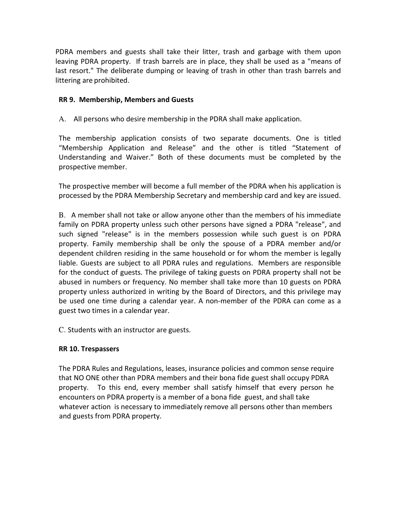PDRA members and guests shall take their litter, trash and garbage with them upon leaving PDRA property. If trash barrels are in place, they shall be used as a "means of last resort." The deliberate dumping or leaving of trash in other than trash barrels and littering are prohibited.

## RR 9. Membership, Members and Guests

A. All persons who desire membership in the PDRA shall make application.

The membership application consists of two separate documents. One is titled "Membership Application and Release" and the other is titled "Statement of Understanding and Waiver." Both of these documents must be completed by the prospective member.

The prospective member will become a full member of the PDRA when his application is processed by the PDRA Membership Secretary and membership card and key are issued.

B. A member shall not take or allow anyone other than the members of his immediate family on PDRA property unless such other persons have signed a PDRA "release", and such signed "release" is in the members possession while such guest is on PDRA property. Family membership shall be only the spouse of a PDRA member and/or dependent children residing in the same household or for whom the member is legally liable. Guests are subject to all PDRA rules and regulations. Members are responsible for the conduct of guests. The privilege of taking guests on PDRA property shall not be abused in numbers or frequency. No member shall take more than 10 guests on PDRA property unless authorized in writing by the Board of Directors, and this privilege may be used one time during a calendar year. A non-member of the PDRA can come as a guest two times in a calendar year.

C. Students with an instructor are guests.

## RR 10. Trespassers

The PDRA Rules and Regulations, leases, insurance policies and common sense require that NO ONE other than PDRA members and their bona fide guest shall occupy PDRA property. To this end, every member shall satisfy himself that every person he encounters on PDRA property is a member of a bona fide guest, and shall take whatever action is necessary to immediately remove all persons other than members and guests from PDRA property.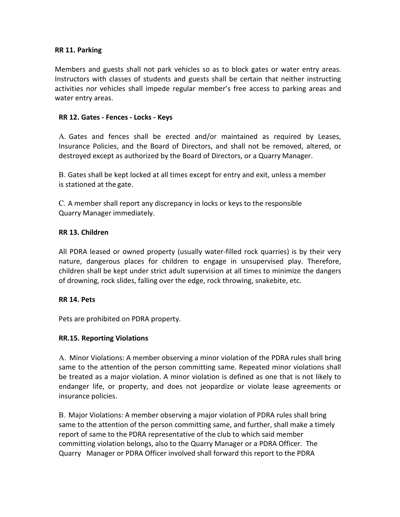## RR 11. Parking

Members and guests shall not park vehicles so as to block gates or water entry areas. Instructors with classes of students and guests shall be certain that neither instructing activities nor vehicles shall impede regular member's free access to parking areas and water entry areas.

#### RR 12. Gates - Fences - Locks - Keys

A. Gates and fences shall be erected and/or maintained as required by Leases, Insurance Policies, and the Board of Directors, and shall not be removed, altered, or destroyed except as authorized by the Board of Directors, or a Quarry Manager.

B. Gates shall be kept locked at all times except for entry and exit, unless a member is stationed at the gate.

C. A member shall report any discrepancy in locks or keys to the responsible Quarry Manager immediately.

#### RR 13. Children

All PDRA leased or owned property (usually water-filled rock quarries) is by their very nature, dangerous places for children to engage in unsupervised play. Therefore, children shall be kept under strict adult supervision at all times to minimize the dangers of drowning, rock slides, falling over the edge, rock throwing, snakebite, etc.

#### RR 14. Pets

Pets are prohibited on PDRA property.

#### RR.15. Reporting Violations

A. Minor Violations: A member observing a minor violation of the PDRA rules shall bring same to the attention of the person committing same. Repeated minor violations shall be treated as a major violation. A minor violation is defined as one that is not likely to endanger life, or property, and does not jeopardize or violate lease agreements or insurance policies.

B. Major Violations: A member observing a major violation of PDRA rules shall bring same to the attention of the person committing same, and further, shall make a timely report of same to the PDRA representative of the club to which said member committing violation belongs, also to the Quarry Manager or a PDRA Officer. The Quarry Manager or PDRA Officer involved shall forward this report to the PDRA